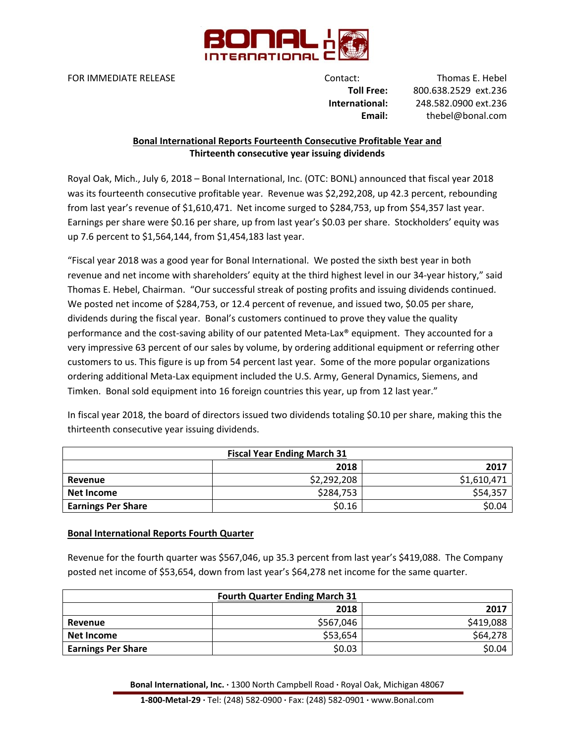

FOR IMMEDIATE RELEASE **Support CONTACT CONTACT:** Thomas E. Hebel

 **Toll Free:** 800.638.2529 ext.236 **International:** 248.582.0900 ext.236 **Email:** thebel@bonal.com

## **Bonal International Reports Fourteenth Consecutive Profitable Year and Thirteenth consecutive year issuing dividends**

Royal Oak, Mich., July 6, 2018 – Bonal International, Inc. (OTC: BONL) announced that fiscal year 2018 was its fourteenth consecutive profitable year. Revenue was \$2,292,208, up 42.3 percent, rebounding from last year's revenue of \$1,610,471. Net income surged to \$284,753, up from \$54,357 last year. Earnings per share were \$0.16 per share, up from last year's \$0.03 per share. Stockholders' equity was up 7.6 percent to \$1,564,144, from \$1,454,183 last year.

"Fiscal year 2018 was a good year for Bonal International. We posted the sixth best year in both revenue and net income with shareholders' equity at the third highest level in our 34‐year history," said Thomas E. Hebel, Chairman. "Our successful streak of posting profits and issuing dividends continued. We posted net income of \$284,753, or 12.4 percent of revenue, and issued two, \$0.05 per share, dividends during the fiscal year. Bonal's customers continued to prove they value the quality performance and the cost-saving ability of our patented Meta-Lax® equipment. They accounted for a very impressive 63 percent of our sales by volume, by ordering additional equipment or referring other customers to us. This figure is up from 54 percent last year. Some of the more popular organizations ordering additional Meta‐Lax equipment included the U.S. Army, General Dynamics, Siemens, and Timken. Bonal sold equipment into 16 foreign countries this year, up from 12 last year."

In fiscal year 2018, the board of directors issued two dividends totaling \$0.10 per share, making this the thirteenth consecutive year issuing dividends.

| <b>Fiscal Year Ending March 31</b> |             |             |
|------------------------------------|-------------|-------------|
|                                    | 2018        | 2017        |
| Revenue                            | \$2,292,208 | \$1,610,471 |
| Net Income                         | \$284,753   | \$54,357    |
| <b>Earnings Per Share</b>          | \$0.16      | \$0.04      |

## **Bonal International Reports Fourth Quarter**

Revenue for the fourth quarter was \$567,046, up 35.3 percent from last year's \$419,088. The Company posted net income of \$53,654, down from last year's \$64,278 net income for the same quarter.

| <b>Fourth Quarter Ending March 31</b> |           |           |
|---------------------------------------|-----------|-----------|
|                                       | 2018      | 2017      |
| Revenue                               | \$567,046 | \$419,088 |
| Net Income                            | \$53,654  | \$64,278  |
| <b>Earnings Per Share</b>             | \$0.03    | \$0.04    |

**Bonal International, Inc. ∙** 1300 North Campbell Road **∙** Royal Oak, Michigan 48067

**1‐800‐Metal‐29 ∙** Tel: (248) 582‐0900 **∙** Fax: (248) 582‐0901 **∙** www.Bonal.com